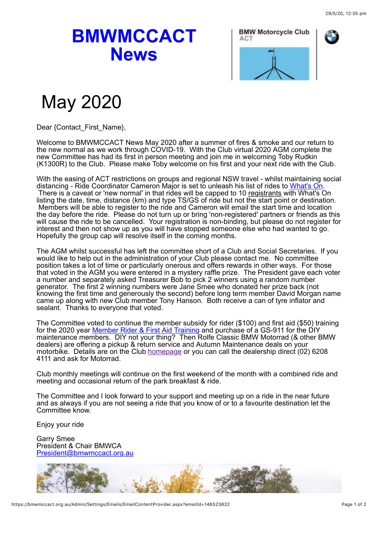## **BMWMCCACT News**



## May 2020

Dear {Contact\_First\_Name},

Welcome to BMWMCCACT News May 2020 after a summer of fires & smoke and our return to the new normal as we work through COVID-19. With the Club virtual 2020 AGM complete the new Committee has had its first in person meeting and join me in welcoming Toby Rudkin (K1300R) to the Club. Please make Toby welcome on his first and your next ride with the Club.

With the easing of ACT restrictions on groups and regional NSW travel - whilst maintaining social distancing - Ride Coordinator Cameron Major is set to unleash his list of rides to [What's On.](https://bmwmccact.org.au/page-1419638) There is a caveat or 'new normal' in that rides will be capped to 10 registrants with What's On listing the date, time, distance (km) and type TS/GS of ride but not the start point or destination. Members will be able to register to the ride and Cameron will email the start time and location the day before the ride. Please do not turn up or bring 'non-registered' partners or friends as this will cause the ride to be cancelled. Your registration is non-binding, but please do not register for interest and then not show up as you will have stopped someone else who had wanted to go. Hopefully the group cap will resolve itself in the coming months.

The AGM whilst successful has left the committee short of a Club and Social Secretaries. If you would like to help out in the administration of your Club please contact me. No committee position takes a lot of time or particularly onerous and offers rewards in other ways. For those that voted in the AGM you were entered in a mystery raffle prize. The President gave each voter a number and separately asked Treasurer Bob to pick 2 winners using a random number generator. The first 2 winning numbers were Jane Smee who donated her prize back (not knowing the first time and generously the second) before long term member David Morgan name came up along with new Club member Tony Hanson. Both receive a can of tyre inflator and sealant. Thanks to everyone that voted.

The Committee voted to continue the member subsidy for rider (\$100) and first aid (\$50) training for the 2020 year [Member Rider & First Aid Training](https://bmwmccact.org.au/Member-Rider-Training) and purchase of a GS-911 for the DIY maintenance members. DIY not your thing? Then Rolfe Classic BMW Motorrad (& other BMW dealers) are offering a pickup & return service and Autumn Maintenance deals on your motorbike. Details are on the Club [homepage](https://bmwmccact.org.au/) or you can call the dealership direct (02) 6208 4111 and ask for Motorrad.

Club monthly meetings will continue on the first weekend of the month with a combined ride and meeting and occasional return of the park breakfast & ride.

The Committee and I look forward to your support and meeting up on a ride in the near future and as always if you are not seeing a ride that you know of or to a favourite destination let the Committee know.

Enjoy your ride

Garry Smee President & Chair BMWCA [President@bmwmccact.org.au](mailto:President@bmwmccact.org.au)